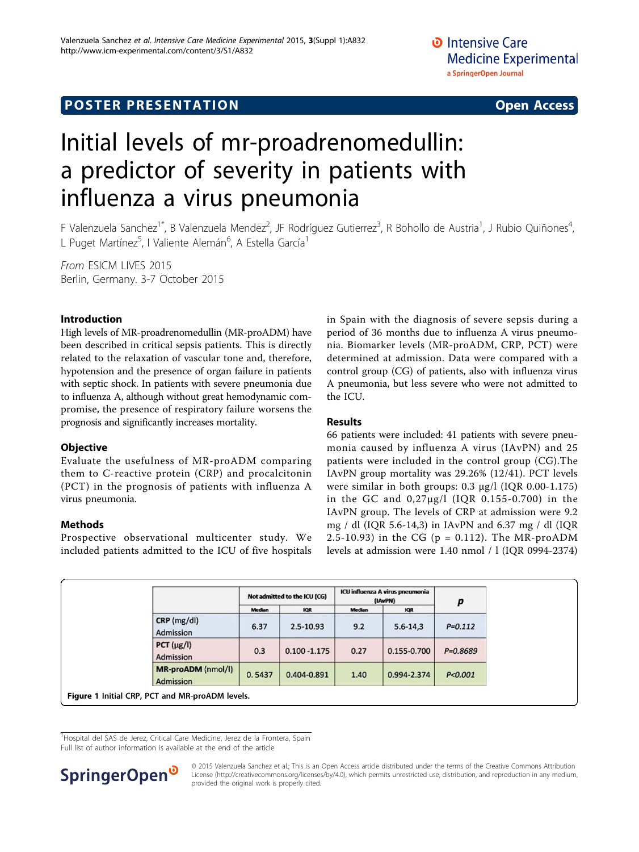# <span id="page-0-0"></span>Initial levels of mr-proadrenomedullin: a predictor of severity in patients with influenza a virus pneumonia

F Valenzuela Sanchez<sup>1\*</sup>, B Valenzuela Mendez<sup>2</sup>, JF Rodríguez Gutierrez<sup>3</sup>, R Bohollo de Austria<sup>1</sup>, J Rubio Quiñones<sup>4</sup> , L Puget Martínez<sup>5</sup>, I Valiente Alemán<sup>6</sup>, A Estella García<sup>1</sup>

From ESICM LIVES 2015 Berlin, Germany. 3-7 October 2015

### Introduction

High levels of MR-proadrenomedullin (MR-proADM) have been described in critical sepsis patients. This is directly related to the relaxation of vascular tone and, therefore, hypotension and the presence of organ failure in patients with septic shock. In patients with severe pneumonia due to influenza A, although without great hemodynamic compromise, the presence of respiratory failure worsens the prognosis and significantly increases mortality.

### **Objective**

Evaluate the usefulness of MR-proADM comparing them to C-reactive protein (CRP) and procalcitonin (PCT) in the prognosis of patients with influenza A virus pneumonia.

### Methods

Prospective observational multicenter study. We included patients admitted to the ICU of five hospitals in Spain with the diagnosis of severe sepsis during a period of 36 months due to influenza A virus pneumonia. Biomarker levels (MR-proADM, CRP, PCT) were determined at admission. Data were compared with a control group (CG) of patients, also with influenza virus A pneumonia, but less severe who were not admitted to the ICU.

## Results

66 patients were included: 41 patients with severe pneumonia caused by influenza A virus (IAvPN) and 25 patients were included in the control group (CG).The IAvPN group mortality was 29.26% (12/41). PCT levels were similar in both groups: 0.3 µg/l (IQR 0.00-1.175) in the GC and 0,27µg/l (IQR 0.155-0.700) in the IAvPN group. The levels of CRP at admission were 9.2 mg / dl (IQR 5.6-14,3) in IAvPN and 6.37 mg / dl (IQR 2.5-10.93) in the CG ( $p = 0.112$ ). The MR-proADM levels at admission were 1.40 nmol / l (IQR 0994-2374)

|                                        | Not admitted to the ICU (CG) |                 | ICU influenza A virus pneumonia<br>(IAvPN) |              | р            |
|----------------------------------------|------------------------------|-----------------|--------------------------------------------|--------------|--------------|
|                                        | <b>Median</b>                | <b>IQR</b>      | Median                                     | <b>IQR</b>   |              |
| $CRP$ (mg/dl)<br>Admission             | 6.37                         | $2.5 - 10.93$   | 9.2                                        | $5.6 - 14.3$ | $P = 0.112$  |
| $PCT (\mu g/l)$<br>Admission           | 0.3                          | $0.100 - 1.175$ | 0.27                                       | 0.155-0.700  | $P = 0.8689$ |
| <b>MR-proADM</b> (nmol/l)<br>Admission | 0.5437                       | 0.404-0.891     | 1.40                                       | 0.994-2.374  | P < 0.001    |

<sup>1</sup>Hospital del SAS de Jerez, Critical Care Medicine, Jerez de la Frontera, Spain Full list of author information is available at the end of the article



© 2015 Valenzuela Sanchez et al.; This is an Open Access article distributed under the terms of the Creative Commons Attribution License [\(http://creativecommons.org/licenses/by/4.0](http://creativecommons.org/licenses/by/4.0)), which permits unrestricted use, distribution, and reproduction in any medium, provided the original work is properly cited.